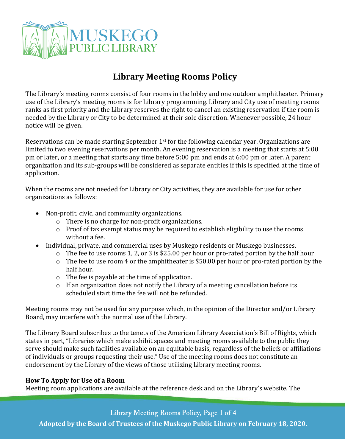

# **Library Meeting Rooms Policy**

The Library's meeting rooms consist of four rooms in the lobby and one outdoor amphitheater. Primary use of the Library's meeting rooms is for Library programming. Library and City use of meeting rooms ranks as first priority and the Library reserves the right to cancel an existing reservation if the room is needed by the Library or City to be determined at their sole discretion. Whenever possible, 24 hour notice will be given.

Reservations can be made starting September  $1<sup>st</sup>$  for the following calendar year. Organizations are limited to two evening reservations per month. An evening reservation is a meeting that starts at 5:00 pm or later, or a meeting that starts any time before 5:00 pm and ends at 6:00 pm or later. A parent organization and its sub-groups will be considered as separate entities if this is specified at the time of application.

When the rooms are not needed for Library or City activities, they are available for use for other organizations as follows:

- Non-profit, civic, and community organizations.
	- o There is no charge for non-profit organizations.
	- o Proof of tax exempt status may be required to establish eligibility to use the rooms without a fee.
- Individual, private, and commercial uses by Muskego residents or Muskego businesses.
	- o The fee to use rooms 1, 2, or 3 is \$25.00 per hour or pro-rated portion by the half hour
	- o The fee to use room 4 or the amphitheater is \$50.00 per hour or pro-rated portion by the half hour.
	- o The fee is payable at the time of application.
	- o If an organization does not notify the Library of a meeting cancellation before its scheduled start time the fee will not be refunded.

Meeting rooms may not be used for any purpose which, in the opinion of the Director and/or Library Board, may interfere with the normal use of the Library.

The Library Board subscribes to the tenets of the American Library Association's Bill of Rights, which states in part, "Libraries which make exhibit spaces and meeting rooms available to the public they serve should make such facilities available on an equitable basis, regardless of the beliefs or affiliations of individuals or groups requesting their use." Use of the meeting rooms does not constitute an endorsement by the Library of the views of those utilizing Library meeting rooms.

# **How To Apply for Use of a Room**

Meeting room applications are available at the reference desk and on the Library's website. The

Library Meeting Rooms Policy, Page 1 of 4

**Adopted by the Board of Trustees of the Muskego Public Library on February 18, 2020.**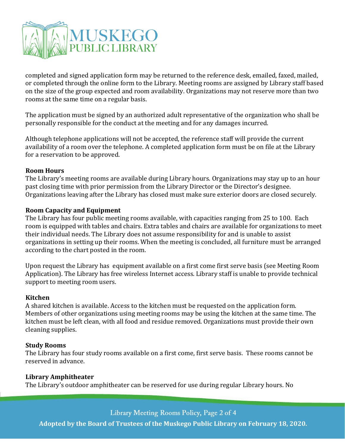

completed and signed application form may be returned to the reference desk, emailed, faxed, mailed, or completed through the online form to the Library. Meeting rooms are assigned by Library staff based on the size of the group expected and room availability. Organizations may not reserve more than two rooms at the same time on a regular basis.

The application must be signed by an authorized adult representative of the organization who shall be personally responsible for the conduct at the meeting and for any damages incurred.

Although telephone applications will not be accepted, the reference staff will provide the current availability of a room over the telephone. A completed application form must be on file at the Library for a reservation to be approved.

#### **Room Hours**

The Library's meeting rooms are available during Library hours. Organizations may stay up to an hour past closing time with prior permission from the Library Director or the Director's designee. Organizations leaving after the Library has closed must make sure exterior doors are closed securely.

#### **Room Capacity and Equipment**

The Library has four public meeting rooms available, with capacities ranging from 25 to 100. Each room is equipped with tables and chairs. Extra tables and chairs are available for organizations to meet their individual needs. The Library does not assume responsibility for and is unable to assist organizations in setting up their rooms. When the meeting is concluded, all furniture must be arranged according to the chart posted in the room.

Upon request the Library has equipment available on a first come first serve basis (see Meeting Room Application). The Library has free wireless Internet access. Library staff is unable to provide technical support to meeting room users.

#### **Kitchen**

A shared kitchen is available. Access to the kitchen must be requested on the application form. Members of other organizations using meeting rooms may be using the kitchen at the same time. The kitchen must be left clean, with all food and residue removed. Organizations must provide their own cleaning supplies.

#### **Study Rooms**

The Library has four study rooms available on a first come, first serve basis. These rooms cannot be reserved in advance.

### **Library Amphitheater**

The Library's outdoor amphitheater can be reserved for use during regular Library hours. No

Library Meeting Rooms Policy, Page 2 of 4

**Adopted by the Board of Trustees of the Muskego Public Library on February 18, 2020.**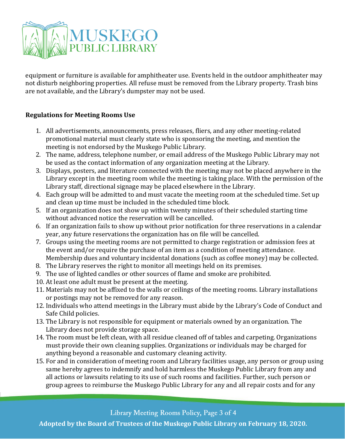

equipment or furniture is available for amphitheater use. Events held in the outdoor amphitheater may not disturb neighboring properties. All refuse must be removed from the Library property. Trash bins are not available, and the Library's dumpster may not be used.

## **Regulations for Meeting Rooms Use**

- 1. All advertisements, announcements, press releases, fliers, and any other meeting-related promotional material must clearly state who is sponsoring the meeting, and mention the meeting is not endorsed by the Muskego Public Library.
- 2. The name, address, telephone number, or email address of the Muskego Public Library may not be used as the contact information of any organization meeting at the Library.
- 3. Displays, posters, and literature connected with the meeting may not be placed anywhere in the Library except in the meeting room while the meeting is taking place. With the permission of the Library staff, directional signage may be placed elsewhere in the Library.
- 4. Each group will be admitted to and must vacate the meeting room at the scheduled time. Set up and clean up time must be included in the scheduled time block.
- 5. If an organization does not show up within twenty minutes of their scheduled starting time without advanced notice the reservation will be cancelled.
- 6. If an organization fails to show up without prior notification for three reservations in a calendar year, any future reservations the organization has on file will be cancelled.
- 7. Groups using the meeting rooms are not permitted to charge registration or admission fees at the event and/or require the purchase of an item as a condition of meeting attendance. Membership dues and voluntary incidental donations (such as coffee money) may be collected.
- 8. The Library reserves the right to monitor all meetings held on its premises.
- 9. The use of lighted candles or other sources of flame and smoke are prohibited.
- 10. At least one adult must be present at the meeting.
- 11. Materials may not be affixed to the walls or ceilings of the meeting rooms. Library installations or postings may not be removed for any reason.
- 12. Individuals who attend meetings in the Library must abide by the Library's Code of Conduct and Safe Child policies.
- 13. The Library is not responsible for equipment or materials owned by an organization. The Library does not provide storage space.
- 14. The room must be left clean, with all residue cleaned off of tables and carpeting. Organizations must provide their own cleaning supplies. Organizations or individuals may be charged for anything beyond a reasonable and customary cleaning activity.
- 15. For and in consideration of meeting room and Library facilities usage, any person or group using same hereby agrees to indemnify and hold harmless the Muskego Public Library from any and all actions or lawsuits relating to its use of such rooms and facilities. Further, such person or group agrees to reimburse the Muskego Public Library for any and all repair costs and for any

Library Meeting Rooms Policy, Page 3 of 4

**Adopted by the Board of Trustees of the Muskego Public Library on February 18, 2020.**